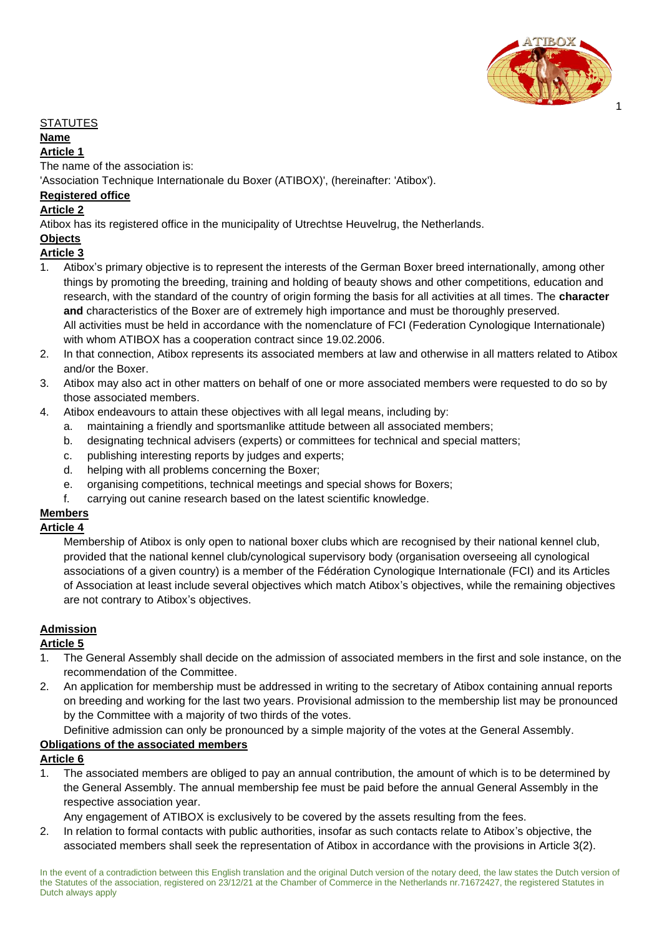

#### **STATUTES**

#### **Name**

#### **Article 1**

The name of the association is:

'Association Technique Internationale du Boxer (ATIBOX)', (hereinafter: 'Atibox').

### **Registered office**

#### **Article 2**

Atibox has its registered office in the municipality of Utrechtse Heuvelrug, the Netherlands.

#### **Objects**

#### **Article 3**

- 1. Atibox's primary objective is to represent the interests of the German Boxer breed internationally, among other things by promoting the breeding, training and holding of beauty shows and other competitions, education and research, with the standard of the country of origin forming the basis for all activities at all times. The **character and** characteristics of the Boxer are of extremely high importance and must be thoroughly preserved. All activities must be held in accordance with the nomenclature of FCI (Federation Cynologique Internationale) with whom ATIBOX has a cooperation contract since 19.02.2006.
- 2. In that connection, Atibox represents its associated members at law and otherwise in all matters related to Atibox and/or the Boxer.
- 3. Atibox may also act in other matters on behalf of one or more associated members were requested to do so by those associated members.
- 4. Atibox endeavours to attain these objectives with all legal means, including by:
	- a. maintaining a friendly and sportsmanlike attitude between all associated members;
	- b. designating technical advisers (experts) or committees for technical and special matters;
	- c. publishing interesting reports by judges and experts;
	- d. helping with all problems concerning the Boxer;
	- e. organising competitions, technical meetings and special shows for Boxers;
	- f. carrying out canine research based on the latest scientific knowledge.

# **Members**

#### **Article 4**

Membership of Atibox is only open to national boxer clubs which are recognised by their national kennel club, provided that the national kennel club/cynological supervisory body (organisation overseeing all cynological associations of a given country) is a member of the Fédération Cynologique Internationale (FCI) and its Articles of Association at least include several objectives which match Atibox's objectives, while the remaining objectives are not contrary to Atibox's objectives.

#### **Admission**

#### **Article 5**

- 1. The General Assembly shall decide on the admission of associated members in the first and sole instance, on the recommendation of the Committee.
- 2. An application for membership must be addressed in writing to the secretary of Atibox containing annual reports on breeding and working for the last two years. Provisional admission to the membership list may be pronounced by the Committee with a majority of two thirds of the votes.

Definitive admission can only be pronounced by a simple majority of the votes at the General Assembly.

#### **Obligations of the associated members**

### **Article 6**

The associated members are obliged to pay an annual contribution, the amount of which is to be determined by the General Assembly. The annual membership fee must be paid before the annual General Assembly in the respective association year.

Any engagement of ATIBOX is exclusively to be covered by the assets resulting from the fees.

2. In relation to formal contacts with public authorities, insofar as such contacts relate to Atibox's objective, the associated members shall seek the representation of Atibox in accordance with the provisions in Article 3(2).

In the event of a contradiction between this English translation and the original Dutch version of the notary deed, the law states the Dutch version of the Statutes of the association, registered on 23/12/21 at the Chamber of Commerce in the Netherlands nr.71672427, the registered Statutes in Dutch always apply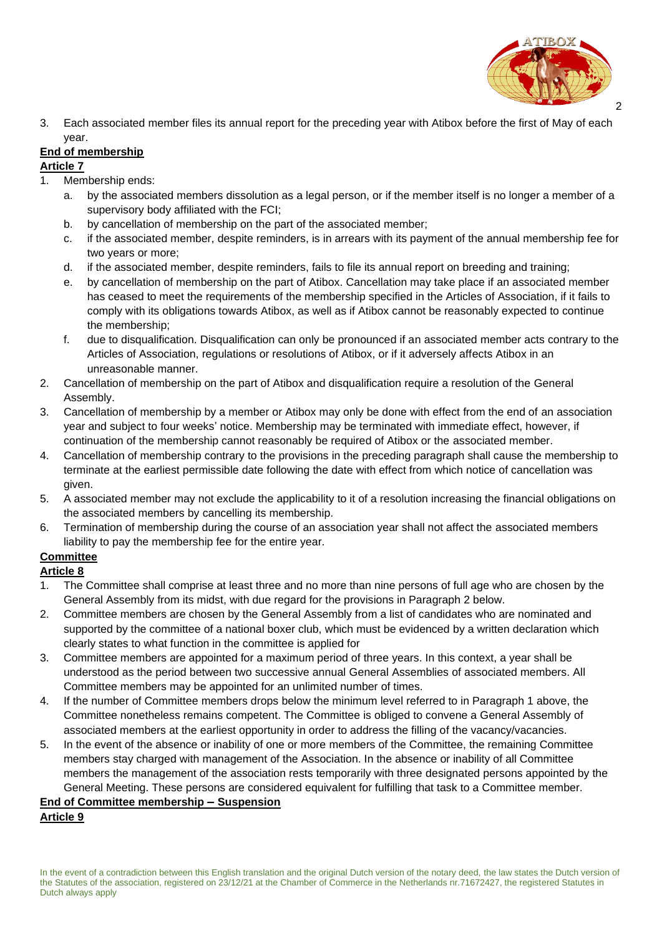

3. Each associated member files its annual report for the preceding year with Atibox before the first of May of each year.

# **End of membership**

### **Article 7**

- 1. Membership ends:
	- a. by the associated members dissolution as a legal person, or if the member itself is no longer a member of a supervisory body affiliated with the FCI;
	- b. by cancellation of membership on the part of the associated member;
	- c. if the associated member, despite reminders, is in arrears with its payment of the annual membership fee for two years or more;
	- d. if the associated member, despite reminders, fails to file its annual report on breeding and training;
	- e. by cancellation of membership on the part of Atibox. Cancellation may take place if an associated member has ceased to meet the requirements of the membership specified in the Articles of Association, if it fails to comply with its obligations towards Atibox, as well as if Atibox cannot be reasonably expected to continue the membership;
	- f. due to disqualification. Disqualification can only be pronounced if an associated member acts contrary to the Articles of Association, regulations or resolutions of Atibox, or if it adversely affects Atibox in an unreasonable manner.
- 2. Cancellation of membership on the part of Atibox and disqualification require a resolution of the General Assembly.
- 3. Cancellation of membership by a member or Atibox may only be done with effect from the end of an association year and subject to four weeks' notice. Membership may be terminated with immediate effect, however, if continuation of the membership cannot reasonably be required of Atibox or the associated member.
- 4. Cancellation of membership contrary to the provisions in the preceding paragraph shall cause the membership to terminate at the earliest permissible date following the date with effect from which notice of cancellation was given.
- 5. A associated member may not exclude the applicability to it of a resolution increasing the financial obligations on the associated members by cancelling its membership.
- 6. Termination of membership during the course of an association year shall not affect the associated members liability to pay the membership fee for the entire year.

# **Committee**

# **Article 8**

- 1. The Committee shall comprise at least three and no more than nine persons of full age who are chosen by the General Assembly from its midst, with due regard for the provisions in Paragraph 2 below.
- 2. Committee members are chosen by the General Assembly from a list of candidates who are nominated and supported by the committee of a national boxer club, which must be evidenced by a written declaration which clearly states to what function in the committee is applied for
- 3. Committee members are appointed for a maximum period of three years. In this context, a year shall be understood as the period between two successive annual General Assemblies of associated members. All Committee members may be appointed for an unlimited number of times.
- 4. If the number of Committee members drops below the minimum level referred to in Paragraph 1 above, the Committee nonetheless remains competent. The Committee is obliged to convene a General Assembly of associated members at the earliest opportunity in order to address the filling of the vacancy/vacancies.
- 5. In the event of the absence or inability of one or more members of the Committee, the remaining Committee members stay charged with management of the Association. In the absence or inability of all Committee members the management of the association rests temporarily with three designated persons appointed by the General Meeting. These persons are considered equivalent for fulfilling that task to a Committee member.

## **End of Committee membership** *–* **Suspension**

# **Article 9**

In the event of a contradiction between this English translation and the original Dutch version of the notary deed, the law states the Dutch version of the Statutes of the association, registered on 23/12/21 at the Chamber of Commerce in the Netherlands nr.71672427, the registered Statutes in Dutch always apply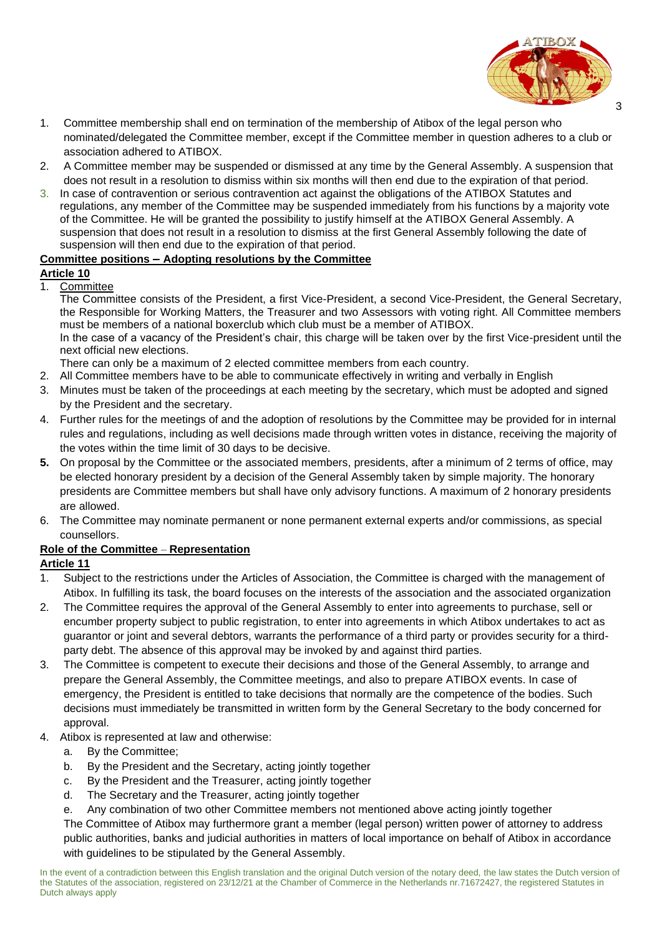

- 1. Committee membership shall end on termination of the membership of Atibox of the legal person who nominated/delegated the Committee member, except if the Committee member in question adheres to a club or association adhered to ATIBOX.
- 2. A Committee member may be suspended or dismissed at any time by the General Assembly. A suspension that does not result in a resolution to dismiss within six months will then end due to the expiration of that period.
- 3. In case of contravention or serious contravention act against the obligations of the ATIBOX Statutes and regulations, any member of the Committee may be suspended immediately from his functions by a majority vote of the Committee. He will be granted the possibility to justify himself at the ATIBOX General Assembly. A suspension that does not result in a resolution to dismiss at the first General Assembly following the date of suspension will then end due to the expiration of that period.

#### **Committee positions** *–* **Adopting resolutions by the Committee**

#### **Article 10**

#### 1. Committee

The Committee consists of the President, a first Vice-President, a second Vice-President, the General Secretary, the Responsible for Working Matters, the Treasurer and two Assessors with voting right. All Committee members must be members of a national boxerclub which club must be a member of ATIBOX. In the case of a vacancy of the President's chair, this charge will be taken over by the first Vice-president until the next official new elections.

There can only be a maximum of 2 elected committee members from each country.

- 2. All Committee members have to be able to communicate effectively in writing and verbally in English
- 3. Minutes must be taken of the proceedings at each meeting by the secretary, which must be adopted and signed by the President and the secretary.
- 4. Further rules for the meetings of and the adoption of resolutions by the Committee may be provided for in internal rules and regulations, including as well decisions made through written votes in distance, receiving the majority of the votes within the time limit of 30 days to be decisive.
- **5.** On proposal by the Committee or the associated members, presidents, after a minimum of 2 terms of office, may be elected honorary president by a decision of the General Assembly taken by simple majority. The honorary presidents are Committee members but shall have only advisory functions. A maximum of 2 honorary presidents are allowed.
- 6. The Committee may nominate permanent or none permanent external experts and/or commissions, as special counsellors.

#### **Role of the Committee** – **Representation**

#### **Article 11**

- 1. Subject to the restrictions under the Articles of Association, the Committee is charged with the management of Atibox. In fulfilling its task, the board focuses on the interests of the association and the associated organization
- 2. The Committee requires the approval of the General Assembly to enter into agreements to purchase, sell or encumber property subject to public registration, to enter into agreements in which Atibox undertakes to act as guarantor or joint and several debtors, warrants the performance of a third party or provides security for a thirdparty debt. The absence of this approval may be invoked by and against third parties.
- 3. The Committee is competent to execute their decisions and those of the General Assembly, to arrange and prepare the General Assembly, the Committee meetings, and also to prepare ATIBOX events. In case of emergency, the President is entitled to take decisions that normally are the competence of the bodies. Such decisions must immediately be transmitted in written form by the General Secretary to the body concerned for approval.
- 4. Atibox is represented at law and otherwise:
	- a. By the Committee;
	- b. By the President and the Secretary, acting jointly together
	- c. By the President and the Treasurer, acting jointly together
	- d. The Secretary and the Treasurer, acting jointly together
	- e. Any combination of two other Committee members not mentioned above acting jointly together

The Committee of Atibox may furthermore grant a member (legal person) written power of attorney to address public authorities, banks and judicial authorities in matters of local importance on behalf of Atibox in accordance with guidelines to be stipulated by the General Assembly.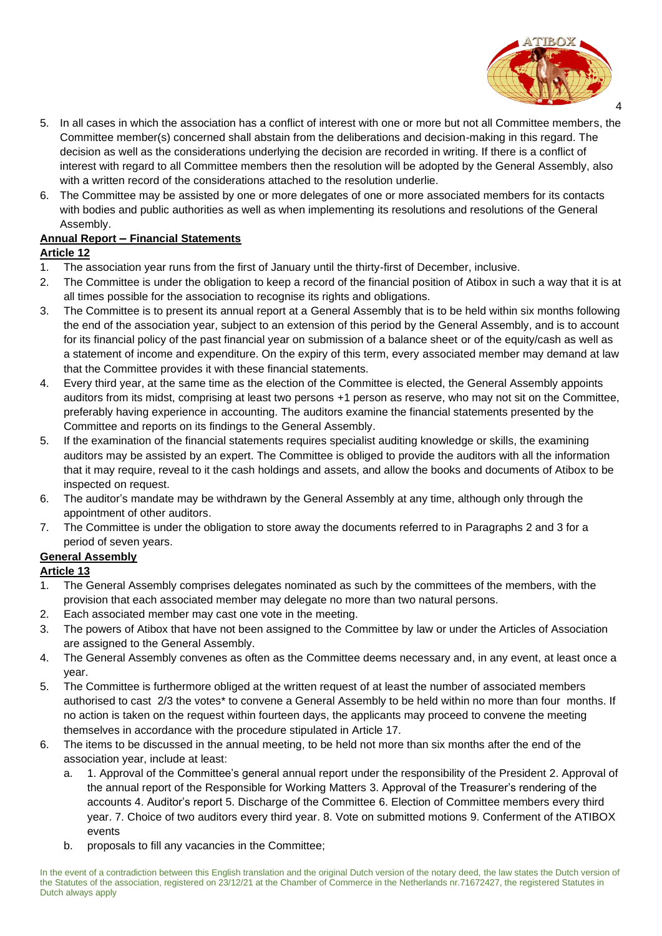

- 5. In all cases in which the association has a conflict of interest with one or more but not all Committee members, the Committee member(s) concerned shall abstain from the deliberations and decision-making in this regard. The decision as well as the considerations underlying the decision are recorded in writing. If there is a conflict of interest with regard to all Committee members then the resolution will be adopted by the General Assembly, also with a written record of the considerations attached to the resolution underlie.
- 6. The Committee may be assisted by one or more delegates of one or more associated members for its contacts with bodies and public authorities as well as when implementing its resolutions and resolutions of the General Assembly.

## **Annual Report** *–* **Financial Statements**

#### **Article 12**

- 1. The association year runs from the first of January until the thirty-first of December, inclusive.
- 2. The Committee is under the obligation to keep a record of the financial position of Atibox in such a way that it is at all times possible for the association to recognise its rights and obligations.
- 3. The Committee is to present its annual report at a General Assembly that is to be held within six months following the end of the association year, subject to an extension of this period by the General Assembly, and is to account for its financial policy of the past financial year on submission of a balance sheet or of the equity/cash as well as a statement of income and expenditure. On the expiry of this term, every associated member may demand at law that the Committee provides it with these financial statements.
- 4. Every third year, at the same time as the election of the Committee is elected, the General Assembly appoints auditors from its midst, comprising at least two persons +1 person as reserve, who may not sit on the Committee, preferably having experience in accounting. The auditors examine the financial statements presented by the Committee and reports on its findings to the General Assembly.
- 5. If the examination of the financial statements requires specialist auditing knowledge or skills, the examining auditors may be assisted by an expert. The Committee is obliged to provide the auditors with all the information that it may require, reveal to it the cash holdings and assets, and allow the books and documents of Atibox to be inspected on request.
- 6. The auditor's mandate may be withdrawn by the General Assembly at any time, although only through the appointment of other auditors.
- 7. The Committee is under the obligation to store away the documents referred to in Paragraphs 2 and 3 for a period of seven years.

### **General Assembly**

### **Article 13**

- 1. The General Assembly comprises delegates nominated as such by the committees of the members, with the provision that each associated member may delegate no more than two natural persons.
- 2. Each associated member may cast one vote in the meeting.
- 3. The powers of Atibox that have not been assigned to the Committee by law or under the Articles of Association are assigned to the General Assembly.
- 4. The General Assembly convenes as often as the Committee deems necessary and, in any event, at least once a year.
- 5. The Committee is furthermore obliged at the written request of at least the number of associated members authorised to cast 2/3 the votes\* to convene a General Assembly to be held within no more than four months. If no action is taken on the request within fourteen days, the applicants may proceed to convene the meeting themselves in accordance with the procedure stipulated in Article 17.
- 6. The items to be discussed in the annual meeting, to be held not more than six months after the end of the association year, include at least:
	- a. 1. Approval of the Committee's general annual report under the responsibility of the President 2. Approval of the annual report of the Responsible for Working Matters 3. Approval of the Treasurer's rendering of the accounts 4. Auditor's report 5. Discharge of the Committee 6. Election of Committee members every third year. 7. Choice of two auditors every third year. 8. Vote on submitted motions 9. Conferment of the ATIBOX events
	- b. proposals to fill any vacancies in the Committee;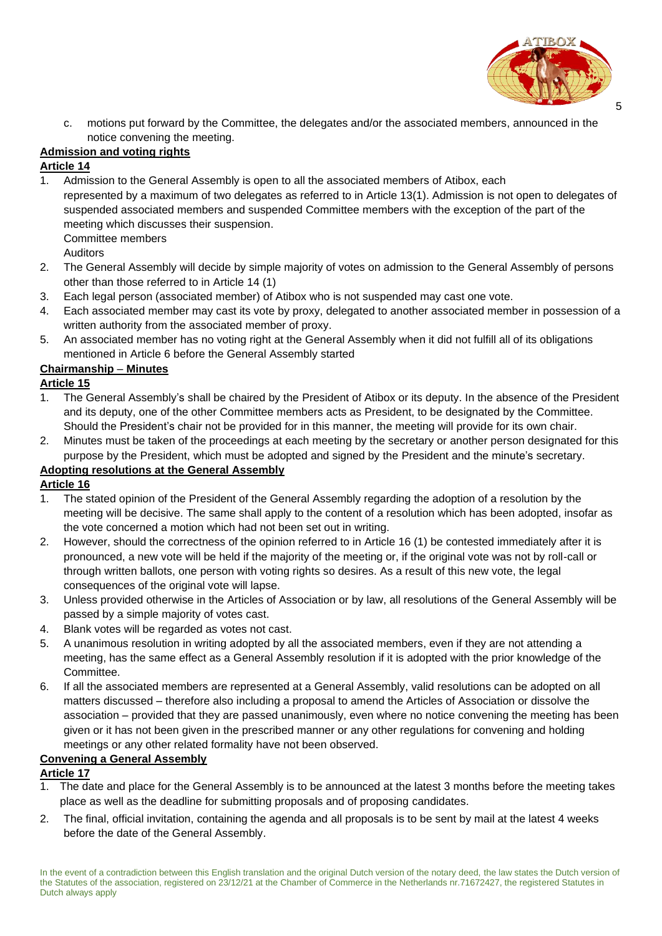

c. motions put forward by the Committee, the delegates and/or the associated members, announced in the notice convening the meeting.

## **Admission and voting rights**

#### **Article 14**

1. Admission to the General Assembly is open to all the associated members of Atibox, each represented by a maximum of two delegates as referred to in Article 13(1). Admission is not open to delegates of suspended associated members and suspended Committee members with the exception of the part of the meeting which discusses their suspension. Committee members

Auditors

- 2. The General Assembly will decide by simple majority of votes on admission to the General Assembly of persons other than those referred to in Article 14 (1)
- 3. Each legal person (associated member) of Atibox who is not suspended may cast one vote.
- 4. Each associated member may cast its vote by proxy, delegated to another associated member in possession of a written authority from the associated member of proxy.
- 5. An associated member has no voting right at the General Assembly when it did not fulfill all of its obligations mentioned in Article 6 before the General Assembly started

### **Chairmanship** – **Minutes**

#### **Article 15**

- 1. The General Assembly's shall be chaired by the President of Atibox or its deputy. In the absence of the President and its deputy, one of the other Committee members acts as President, to be designated by the Committee. Should the President's chair not be provided for in this manner, the meeting will provide for its own chair.
- 2. Minutes must be taken of the proceedings at each meeting by the secretary or another person designated for this purpose by the President, which must be adopted and signed by the President and the minute's secretary.

### **Adopting resolutions at the General Assembly**

#### **Article 16**

- 1. The stated opinion of the President of the General Assembly regarding the adoption of a resolution by the meeting will be decisive. The same shall apply to the content of a resolution which has been adopted, insofar as the vote concerned a motion which had not been set out in writing.
- 2. However, should the correctness of the opinion referred to in Article 16 (1) be contested immediately after it is pronounced, a new vote will be held if the majority of the meeting or, if the original vote was not by roll-call or through written ballots, one person with voting rights so desires. As a result of this new vote, the legal consequences of the original vote will lapse.
- 3. Unless provided otherwise in the Articles of Association or by law, all resolutions of the General Assembly will be passed by a simple majority of votes cast.
- 4. Blank votes will be regarded as votes not cast.
- 5. A unanimous resolution in writing adopted by all the associated members, even if they are not attending a meeting, has the same effect as a General Assembly resolution if it is adopted with the prior knowledge of the **Committee.**
- 6. If all the associated members are represented at a General Assembly, valid resolutions can be adopted on all matters discussed – therefore also including a proposal to amend the Articles of Association or dissolve the association – provided that they are passed unanimously, even where no notice convening the meeting has been given or it has not been given in the prescribed manner or any other regulations for convening and holding meetings or any other related formality have not been observed.

#### **Convening a General Assembly**

#### **Article 17**

- The date and place for the General Assembly is to be announced at the latest 3 months before the meeting takes place as well as the deadline for submitting proposals and of proposing candidates.
- 2. The final, official invitation, containing the agenda and all proposals is to be sent by mail at the latest 4 weeks before the date of the General Assembly.

In the event of a contradiction between this English translation and the original Dutch version of the notary deed, the law states the Dutch version of the Statutes of the association, registered on 23/12/21 at the Chamber of Commerce in the Netherlands nr.71672427, the registered Statutes in Dutch always apply